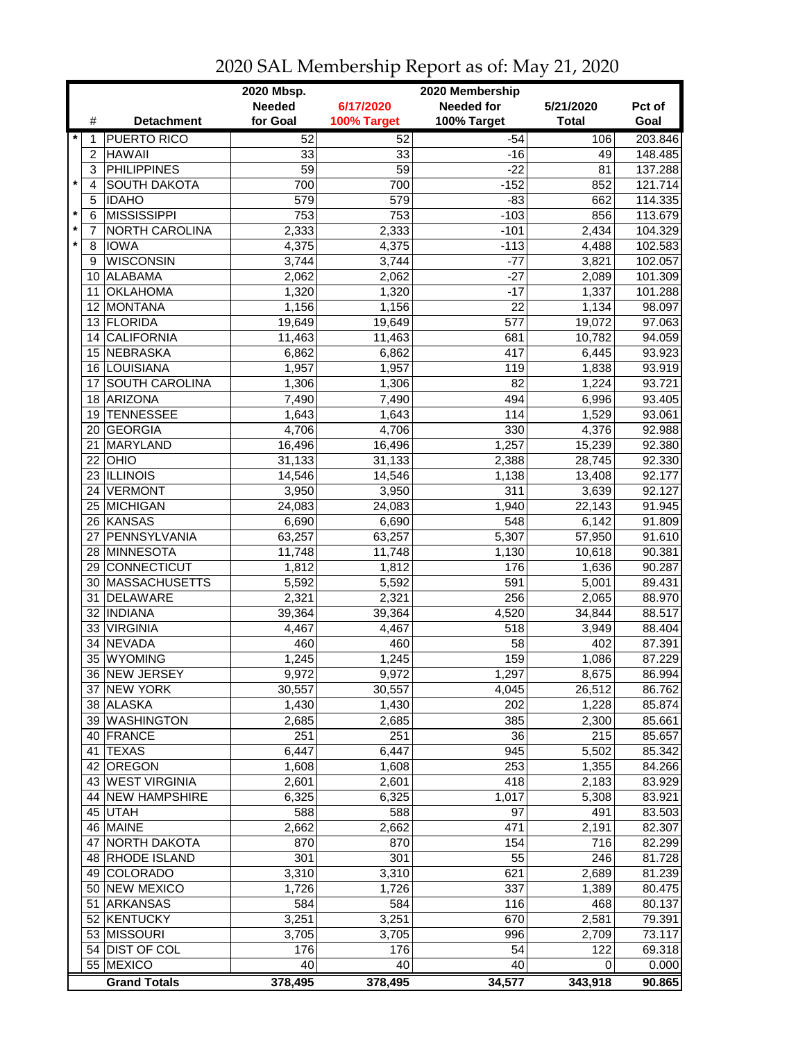|         |                 | 2020 Mbsp.<br>2020 Membership |                 |                 |                   |              |         |
|---------|-----------------|-------------------------------|-----------------|-----------------|-------------------|--------------|---------|
|         |                 |                               | <b>Needed</b>   | 6/17/2020       | <b>Needed for</b> | 5/21/2020    | Pct of  |
|         | #               | <b>Detachment</b>             | for Goal        | 100% Target     | 100% Target       | <b>Total</b> | Goal    |
| $\ast$  |                 | <b>PUERTO RICO</b>            | 52              | 52              | $-54$             | 106          | 203.846 |
|         | 2               | <b>HAWAII</b>                 | 33              | 33              | $-16$             | 49           | 148.485 |
|         | 3               | <b>PHILIPPINES</b>            | $\overline{59}$ | $\overline{59}$ | $-22$             | 81           | 137.288 |
| $\star$ | 4               | <b>SOUTH DAKOTA</b>           | 700             | 700             | $-152$            | 852          | 121.714 |
|         | 5               | <b>IDAHO</b>                  | 579             | 579             | $-83$             | 662          | 114.335 |
| $\star$ | 6               | <b>MISSISSIPPI</b>            | 753             | 753             | $-103$            | 856          | 113.679 |
| $\star$ | 7               | NORTH CAROLINA                | 2,333           | 2,333           | $-101$            | 2,434        | 104.329 |
| $\star$ | 8               | <b>IOWA</b>                   | 4,375           | 4,375           | $-113$            | 4,488        | 102.583 |
|         | 9               | <b>WISCONSIN</b>              | 3,744           | 3,744           | $-77$             | 3,821        | 102.057 |
|         | 10              | <b>ALABAMA</b>                | 2,062           | 2,062           | $-27$             | 2,089        | 101.309 |
|         | 11              | <b>OKLAHOMA</b>               | 1,320           | 1,320           | $-17$             | 1,337        | 101.288 |
|         | 12              | MONTANA                       | 1,156           | 1,156           | 22                | 1,134        | 98.097  |
|         |                 | 13 FLORIDA                    | 19,649          | 19,649          | 577               | 19,072       | 97.063  |
|         | 14 <sup>1</sup> | <b>CALIFORNIA</b>             | 11,463          | 11,463          | 681               | 10,782       | 94.059  |
|         |                 | 15 NEBRASKA                   | 6,862           | 6,862           | 417               | 6,445        | 93.923  |
|         |                 | 16 LOUISIANA                  | 1,957           | 1,957           | 119               | 1,838        | 93.919  |
|         | 17              | SOUTH CAROLINA                | 1,306           | 1,306           | 82                | 1,224        | 93.721  |
|         |                 | 18 ARIZONA                    | 7,490           | 7,490           | 494               | 6,996        | 93.405  |
|         | 19              | <b>TENNESSEE</b>              | 1,643           | 1,643           | 114               | 1,529        | 93.061  |
|         |                 | 20 GEORGIA                    | 4,706           | 4,706           | 330               | 4,376        | 92.988  |
|         | 21              | MARYLAND                      | 16,496          | 16,496          | 1,257             | 15,239       | 92.380  |
|         |                 | $22$ OHIO                     | 31,133          | 31,133          | 2,388             | 28,745       | 92.330  |
|         |                 | 23 ILLINOIS                   | 14,546          | 14,546          | 1,138             | 13,408       | 92.177  |
|         |                 | 24 VERMONT                    | 3,950           | 3,950           | $\overline{311}$  | 3,639        | 92.127  |
|         |                 | 25 MICHIGAN                   | 24,083          | 24,083          | 1,940             | 22,143       | 91.945  |
|         |                 | 26 KANSAS                     | 6,690           | 6,690           | $\overline{548}$  | 6,142        | 91.809  |
|         | 27              | PENNSYLVANIA                  | 63,257          | 63,257          | 5,307             | 57,950       | 91.610  |
|         | 28              | MINNESOTA                     | 11,748          | 11,748          | 1,130             | 10,618       | 90.381  |
|         | 29              | <b>CONNECTICUT</b>            | 1,812           | 1,812           | 176               | 1,636        | 90.287  |
|         |                 | 30 MASSACHUSETTS              | 5,592           | 5,592           | 591               | 5,001        | 89.431  |
|         | 31              | DELAWARE                      | 2,321           | 2,321           | 256               | 2,065        | 88.970  |
|         |                 | 32 INDIANA                    | 39,364          | 39,364          | 4,520             | 34,844       | 88.517  |
|         |                 | 33 VIRGINIA                   | 4,467           | 4,467           | 518               | 3,949        | 88.404  |
|         | 34              | <b>NEVADA</b>                 | 460             | 460             | 58                | 402          | 87.391  |
|         |                 | 35 WYOMING                    | 1,245           | 1,245           | 159               | 1,086        | 87.229  |
|         |                 | 36 NEW JERSEY                 | 9,972           | 9,972           | 1,297             | 8,675        | 86.994  |
|         |                 | 37 NEW YORK                   | 30,557          | 30,557          | 4,045             | 26,512       | 86.762  |
|         |                 | 38 ALASKA                     | 1,430           | 1,430           | 202               | 1,228        | 85.874  |
|         |                 | 39 WASHINGTON                 | 2,685           | 2,685           | 385               | 2,300        | 85.661  |
|         |                 | 40 FRANCE                     | 251             | 251             | 36                | 215          | 85.657  |
|         |                 | 41 TEXAS                      | 6,447           | 6,447           | 945               | 5,502        | 85.342  |
|         |                 | 42 OREGON                     | 1,608           | 1,608           | 253               | 1,355        | 84.266  |
|         |                 | 43 WEST VIRGINIA              | 2,601           | 2,601           | 418               | 2,183        | 83.929  |
|         |                 | 44 NEW HAMPSHIRE              | 6,325           | 6,325           | 1,017             | 5,308        | 83.921  |
|         |                 | 45 UTAH                       | 588             | 588             | 97                | 491          | 83.503  |
|         |                 | 46 MAINE                      | 2,662           | 2,662           | 471               | 2,191        | 82.307  |
|         |                 | 47 NORTH DAKOTA               | 870             | 870             | 154               | 716          | 82.299  |
|         |                 | 48 RHODE ISLAND               | 301             | 301             | 55                | 246          | 81.728  |
|         |                 | 49 COLORADO                   | 3,310           | 3,310           | 621               | 2,689        | 81.239  |
|         |                 | 50 NEW MEXICO                 | 1,726           |                 | 337               | 1,389        | 80.475  |
|         |                 |                               |                 | 1,726           |                   |              |         |
|         | 51              | <b>ARKANSAS</b>               | 584             | 584             | 116               | 468          | 80.137  |
|         |                 | 52 KENTUCKY                   | 3,251           | 3,251           | 670               | 2,581        | 79.391  |
|         |                 | 53 MISSOURI                   | 3,705           | 3,705           | 996               | 2,709        | 73.117  |
|         |                 | 54 DIST OF COL                | 176             | 176             | 54                | 122          | 69.318  |
|         |                 | 55 MEXICO                     | 40              | 40              | 40                | 0            | 0.000   |
|         |                 | <b>Grand Totals</b>           | 378,495         | 378,495         | 34,577            | 343,918      | 90.865  |

2020 SAL Membership Report as of: May 21, 2020